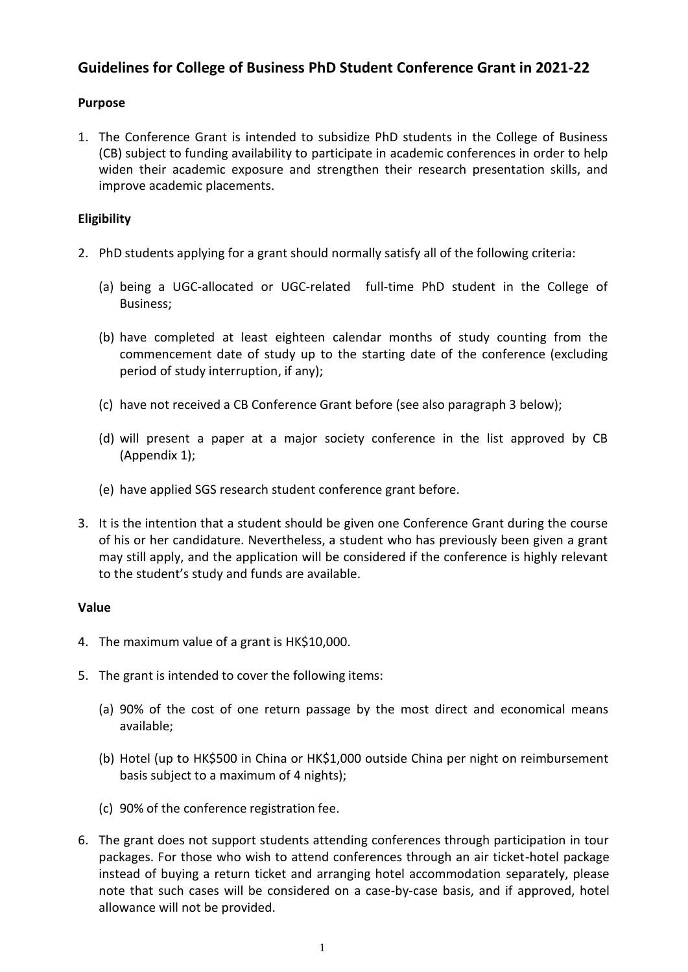# **Guidelines for College of Business PhD Student Conference Grant in 2021-22**

## **Purpose**

1. The Conference Grant is intended to subsidize PhD students in the College of Business (CB) subject to funding availability to participate in academic conferences in order to help widen their academic exposure and strengthen their research presentation skills, and improve academic placements.

## **Eligibility**

- 2. PhD students applying for a grant should normally satisfy all of the following criteria:
	- (a) being a UGC-allocated or UGC-related full-time PhD student in the College of Business;
	- (b) have completed at least eighteen calendar months of study counting from the commencement date of study up to the starting date of the conference (excluding period of study interruption, if any);
	- (c) have not received a CB Conference Grant before (see also paragraph 3 below);
	- (d) will present a paper at a major society conference in the list approved by CB (Appendix 1);
	- (e) have applied SGS research student conference grant before.
- 3. It is the intention that a student should be given one Conference Grant during the course of his or her candidature. Nevertheless, a student who has previously been given a grant may still apply, and the application will be considered if the conference is highly relevant to the student's study and funds are available.

## **Value**

- 4. The maximum value of a grant is HK\$10,000.
- 5. The grant is intended to cover the following items:
	- (a) 90% of the cost of one return passage by the most direct and economical means available;
	- (b) Hotel (up to HK\$500 in China or HK\$1,000 outside China per night on reimbursement basis subject to a maximum of 4 nights);
	- (c) 90% of the conference registration fee.
- 6. The grant does not support students attending conferences through participation in tour packages. For those who wish to attend conferences through an air ticket-hotel package instead of buying a return ticket and arranging hotel accommodation separately, please note that such cases will be considered on a case-by-case basis, and if approved, hotel allowance will not be provided.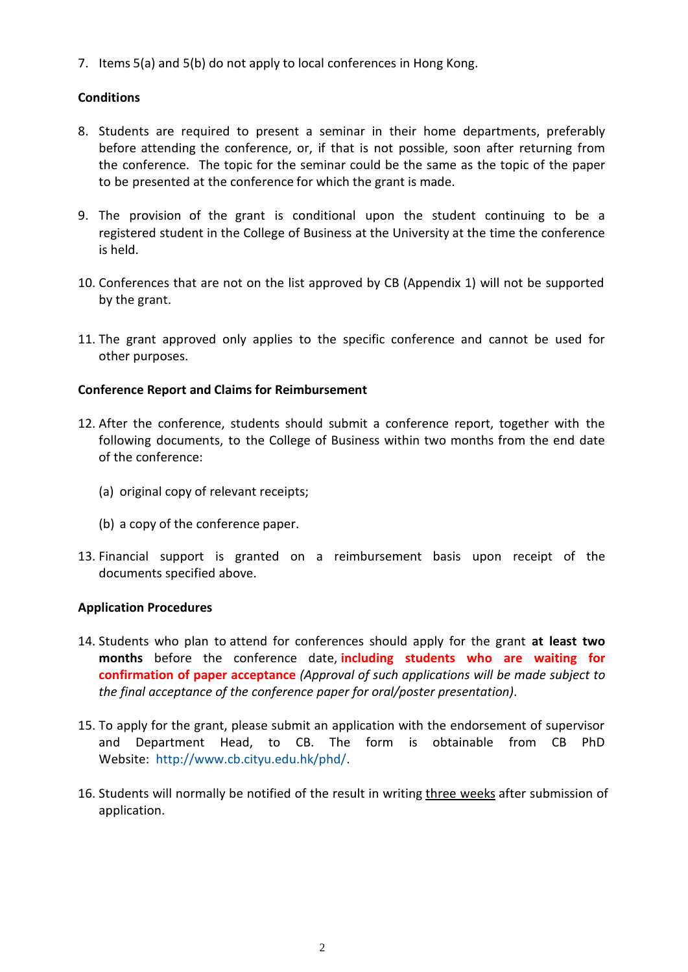7. Items 5(a) and 5(b) do not apply to local conferences in Hong Kong.

## **Conditions**

- 8. Students are required to present a seminar in their home departments, preferably before attending the conference, or, if that is not possible, soon after returning from the conference. The topic for the seminar could be the same as the topic of the paper to be presented at the conference for which the grant is made.
- 9. The provision of the grant is conditional upon the student continuing to be a registered student in the College of Business at the University at the time the conference is held.
- 10. Conferences that are not on the list approved by CB (Appendix 1) will not be supported by the grant.
- 11. The grant approved only applies to the specific conference and cannot be used for other purposes.

## **Conference Report and Claims for Reimbursement**

- 12. After the conference, students should submit a conference report, together with the following documents, to the College of Business within two months from the end date of the conference:
	- (a) original copy of relevant receipts;
	- (b) a copy of the conference paper.
- 13. Financial support is granted on a reimbursement basis upon receipt of the documents specified above.

## **Application Procedures**

- 14. Students who plan to attend for conferences should apply for the grant **at least two months** before the conference date, **including students who are waiting for confirmation of paper acceptance** *(Approval of such applications will be made subject to the final acceptance of the conference paper for oral/poster presentation)*.
- 15. To apply for the grant, please submit an application with the endorsement of supervisor and Department Head, to CB. The form is obtainable from CB PhD Website: [http://www.cb.cityu.edu.hk/phd/.](http://www.cb.cityu.edu.hk/phd/)
- 16. Students will normally be notified of the result in writing three weeks after submission of application.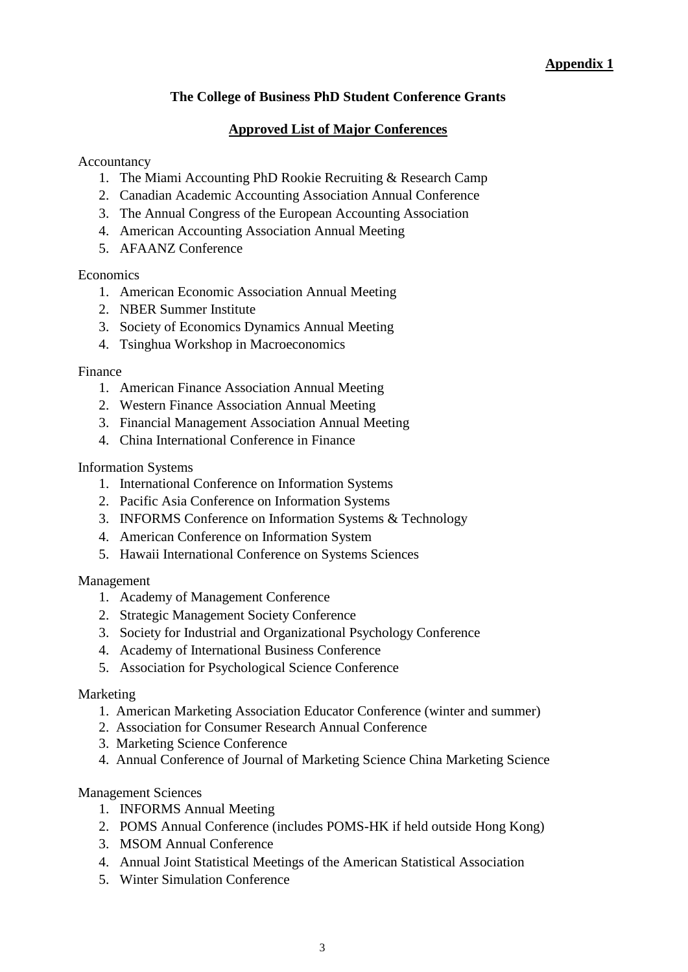## **Appendix 1**

## **The College of Business PhD Student Conference Grants**

## **Approved List of Major Conferences**

#### Accountancy

- 1. The Miami Accounting PhD Rookie Recruiting & Research Camp
- 2. Canadian Academic Accounting Association Annual Conference
- 3. The Annual Congress of the European Accounting Association
- 4. American Accounting Association Annual Meeting
- 5. AFAANZ Conference

## **Economics**

- 1. American Economic Association Annual Meeting
- 2. NBER Summer Institute
- 3. Society of Economics Dynamics Annual Meeting
- 4. Tsinghua Workshop in Macroeconomics

## Finance

- 1. American Finance Association Annual Meeting
- 2. Western Finance Association Annual Meeting
- 3. Financial Management Association Annual Meeting
- 4. China International Conference in Finance

## Information Systems

- 1. International Conference on Information Systems
- 2. Pacific Asia Conference on Information Systems
- 3. INFORMS Conference on Information Systems & Technology
- 4. American Conference on Information System
- 5. Hawaii International Conference on Systems Sciences

## Management

- 1. Academy of Management Conference
- 2. Strategic Management Society Conference
- 3. Society for Industrial and Organizational Psychology Conference
- 4. Academy of International Business Conference
- 5. [Association for Psychological Science Conference](http://www.psychologicalscience.org/conventions/annual)

## Marketing

- 1. American Marketing Association Educator Conference (winter and summer)
- 2. Association for Consumer Research Annual Conference
- 3. Marketing Science Conference
- 4. Annual Conference of Journal of Marketing Science China Marketing Science

## Management Sciences

- 1. INFORMS Annual Meeting
- 2. POMS Annual Conference (includes POMS-HK if held outside Hong Kong)
- 3. MSOM Annual Conference
- 4. Annual Joint Statistical Meetings of the American Statistical Association
- 5. Winter Simulation Conference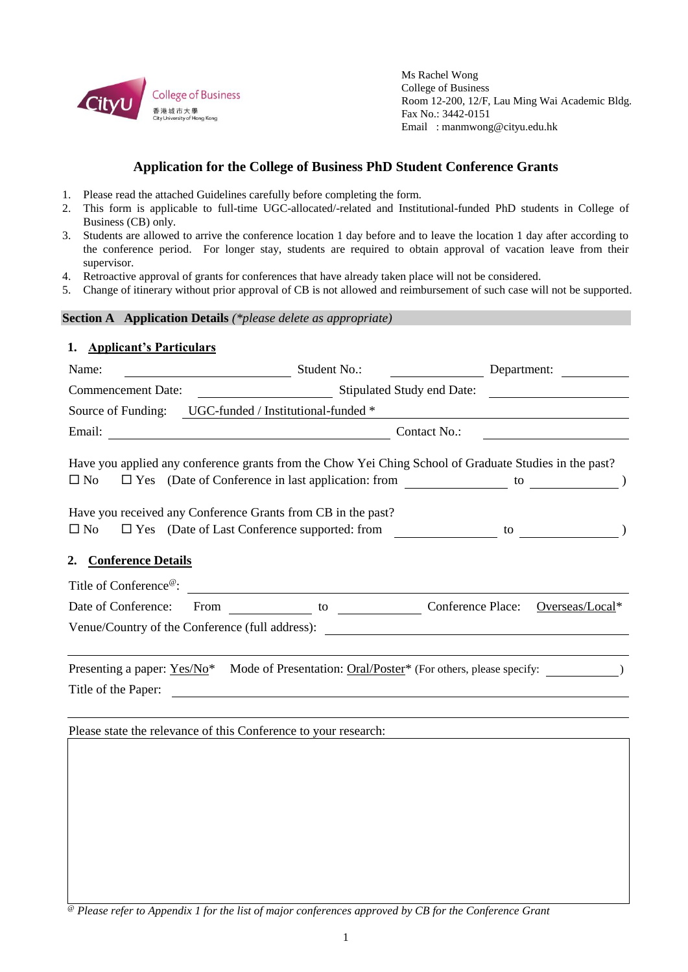

Ms Rachel Wong College of Business Room 12-200, 12/F, Lau Ming Wai Academic Bldg. Fax No.: 3442-0151 Email : manmwong@cityu.edu.hk

## **Application for the College of Business PhD Student Conference Grants**

- 1. Please read the attached Guidelines carefully before completing the form.
- 2. This form is applicable to full-time UGC-allocated/-related and Institutional-funded PhD students in College of Business (CB) only.
- 3. Students are allowed to arrive the conference location 1 day before and to leave the location 1 day after according to the conference period. For longer stay, students are required to obtain approval of vacation leave from their supervisor.
- 4. Retroactive approval of grants for conferences that have already taken place will not be considered.
- 5. Change of itinerary without prior approval of CB is not allowed and reimbursement of such case will not be supported.

# **Section A Application Details** *(\*please delete as appropriate)* **1. Applicant's Particulars** Name: Student No.: Department: Commencement Date: Stipulated Study end Date: Source of Funding: UGC-funded / Institutional-funded \* Email: Contact No.: Have you applied any conference grants from the Chow Yei Ching School of Graduate Studies in the past?  $\Box$  No  $\Box$  Yes (Date of Conference in last application: from  $\Box$  to  $\Box$ Have you received any Conference Grants from CB in the past? □ No □ Yes (Date of Last Conference supported: from to to ) **2. Conference Details** Title of Conference<sup>@</sup>: Date of Conference: From to Conference Place: Overseas/Local\* Venue/Country of the Conference (full address): Presenting a paper: Yes/No<sup>\*</sup> Mode of Presentation: Oral/Poster<sup>\*</sup> (For others, please specify: Title of the Paper:

Please state the relevance of this Conference to your research:

*@ Please refer to Appendix 1 for the list of major conferences approved by CB for the Conference Grant*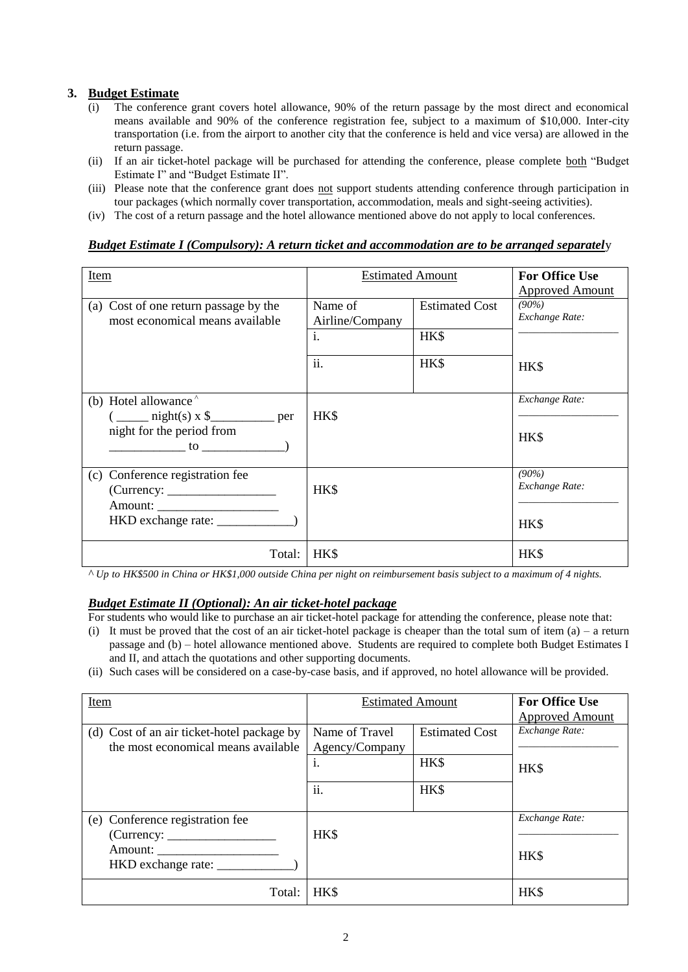#### **3. Budget Estimate**

- (i) The conference grant covers hotel allowance, 90% of the return passage by the most direct and economical means available and 90% of the conference registration fee, subject to a maximum of \$10,000. Inter-city transportation (i.e. from the airport to another city that the conference is held and vice versa) are allowed in the return passage.
- (ii) If an air ticket-hotel package will be purchased for attending the conference, please complete both "Budget Estimate I" and "Budget Estimate II".
- (iii) Please note that the conference grant does not support students attending conference through participation in tour packages (which normally cover transportation, accommodation, meals and sight-seeing activities).
- (iv) The cost of a return passage and the hotel allowance mentioned above do not apply to local conferences.

#### *Budget Estimate I (Compulsory): A return ticket and accommodation are to be arranged separatel*y

| Item                                               | <b>Estimated Amount</b> |                       | <b>For Office Use</b>  |
|----------------------------------------------------|-------------------------|-----------------------|------------------------|
|                                                    |                         |                       | <b>Approved Amount</b> |
| (a) Cost of one return passage by the              | Name of                 | <b>Estimated Cost</b> | $(90\%)$               |
| most economical means available                    | Airline/Company         |                       | Exchange Rate:         |
|                                                    | i.                      | HK\$                  |                        |
|                                                    |                         |                       |                        |
|                                                    | ii.                     | HK\$                  |                        |
|                                                    |                         |                       | HK\$                   |
|                                                    |                         |                       |                        |
| (b) Hotel allowance <sup><math>\hat{}</math></sup> |                         |                       | Exchange Rate:         |
| $\frac{\text{right}(s) \times \$$ per              | HK\$                    |                       |                        |
| night for the period from                          |                         |                       |                        |
| $\mathfrak{g}$ to the set of $\mathfrak{g}$        |                         |                       | HK\$                   |
|                                                    |                         |                       |                        |
| Conference registration fee<br>(c)                 |                         |                       | $(90\%)$               |
|                                                    | HK\$                    |                       | Exchange Rate:         |
|                                                    |                         |                       |                        |
|                                                    |                         |                       |                        |
|                                                    |                         |                       | HK\$                   |
|                                                    |                         |                       |                        |
| Total:                                             | <b>HKS</b>              |                       | HK\$                   |
|                                                    |                         |                       |                        |

*^ Up to HK\$500 in China or HK\$1,000 outside China per night on reimbursement basis subject to a maximum of 4 nights.*

#### *Budget Estimate II (Optional): An air ticket-hotel package*

For students who would like to purchase an air ticket-hotel package for attending the conference, please note that:

- (i) It must be proved that the cost of an air ticket-hotel package is cheaper than the total sum of item  $(a)$  a return passage and (b) – hotel allowance mentioned above. Students are required to complete both Budget Estimates I and II, and attach the quotations and other supporting documents.
- (ii) Such cases will be considered on a case-by-case basis, and if approved, no hotel allowance will be provided.

| Item                                       | <b>Estimated Amount</b> |                       | <b>For Office Use</b>  |
|--------------------------------------------|-------------------------|-----------------------|------------------------|
|                                            |                         |                       | <b>Approved Amount</b> |
| (d) Cost of an air ticket-hotel package by | Name of Travel          | <b>Estimated Cost</b> | Exchange Rate:         |
| the most economical means available        | Agency/Company          |                       |                        |
|                                            | i.                      | HK\$                  | HK\$                   |
|                                            | ii.                     | HK\$                  |                        |
| (e) Conference registration fee            | HK\$                    |                       | Exchange Rate:         |
| Amount:<br>HKD exchange rate:              |                         |                       | HK\$                   |
| Total:                                     | HK\$                    |                       | HK\$                   |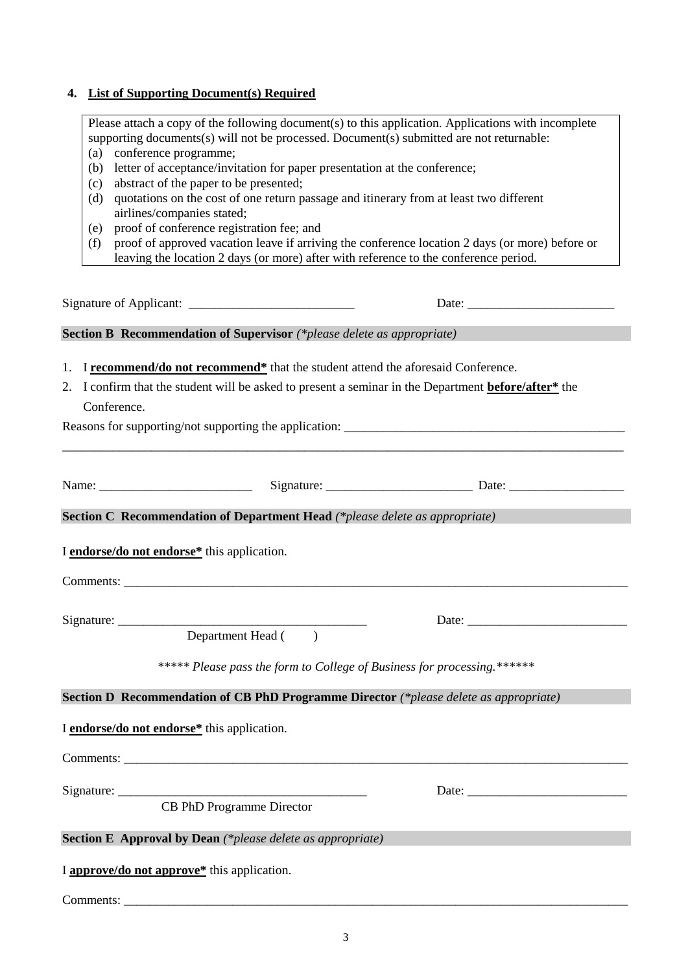## **4. List of Supporting Document(s) Required**

| Please attach a copy of the following document(s) to this application. Applications with incomplete<br>supporting documents(s) will not be processed. Document(s) submitted are not returnable:<br>conference programme;<br>(a)<br>letter of acceptance/invitation for paper presentation at the conference;<br>(b)<br>abstract of the paper to be presented;<br>(c)<br>quotations on the cost of one return passage and itinerary from at least two different<br>(d) |  |  |  |  |                                                                                                        |  |
|-----------------------------------------------------------------------------------------------------------------------------------------------------------------------------------------------------------------------------------------------------------------------------------------------------------------------------------------------------------------------------------------------------------------------------------------------------------------------|--|--|--|--|--------------------------------------------------------------------------------------------------------|--|
|                                                                                                                                                                                                                                                                                                                                                                                                                                                                       |  |  |  |  | airlines/companies stated;                                                                             |  |
|                                                                                                                                                                                                                                                                                                                                                                                                                                                                       |  |  |  |  | proof of conference registration fee; and<br>(e)                                                       |  |
|                                                                                                                                                                                                                                                                                                                                                                                                                                                                       |  |  |  |  | proof of approved vacation leave if arriving the conference location 2 days (or more) before or<br>(f) |  |
| leaving the location 2 days (or more) after with reference to the conference period.                                                                                                                                                                                                                                                                                                                                                                                  |  |  |  |  |                                                                                                        |  |
|                                                                                                                                                                                                                                                                                                                                                                                                                                                                       |  |  |  |  |                                                                                                        |  |
| <b>Section B Recommendation of Supervisor</b> (*please delete as appropriate)                                                                                                                                                                                                                                                                                                                                                                                         |  |  |  |  |                                                                                                        |  |
|                                                                                                                                                                                                                                                                                                                                                                                                                                                                       |  |  |  |  |                                                                                                        |  |
| 1. I recommend/do not recommend <sup>*</sup> that the student attend the aforesaid Conference.                                                                                                                                                                                                                                                                                                                                                                        |  |  |  |  |                                                                                                        |  |
| I confirm that the student will be asked to present a seminar in the Department <b>before/after</b> * the<br>2.                                                                                                                                                                                                                                                                                                                                                       |  |  |  |  |                                                                                                        |  |
| Conference.                                                                                                                                                                                                                                                                                                                                                                                                                                                           |  |  |  |  |                                                                                                        |  |
|                                                                                                                                                                                                                                                                                                                                                                                                                                                                       |  |  |  |  |                                                                                                        |  |
|                                                                                                                                                                                                                                                                                                                                                                                                                                                                       |  |  |  |  |                                                                                                        |  |
|                                                                                                                                                                                                                                                                                                                                                                                                                                                                       |  |  |  |  |                                                                                                        |  |
|                                                                                                                                                                                                                                                                                                                                                                                                                                                                       |  |  |  |  |                                                                                                        |  |
| <b>Section C Recommendation of Department Head</b> (*please delete as appropriate)                                                                                                                                                                                                                                                                                                                                                                                    |  |  |  |  |                                                                                                        |  |
|                                                                                                                                                                                                                                                                                                                                                                                                                                                                       |  |  |  |  |                                                                                                        |  |
| I endorse/do not endorse* this application.                                                                                                                                                                                                                                                                                                                                                                                                                           |  |  |  |  |                                                                                                        |  |
|                                                                                                                                                                                                                                                                                                                                                                                                                                                                       |  |  |  |  |                                                                                                        |  |
|                                                                                                                                                                                                                                                                                                                                                                                                                                                                       |  |  |  |  |                                                                                                        |  |
|                                                                                                                                                                                                                                                                                                                                                                                                                                                                       |  |  |  |  |                                                                                                        |  |
| Department Head ()                                                                                                                                                                                                                                                                                                                                                                                                                                                    |  |  |  |  |                                                                                                        |  |
|                                                                                                                                                                                                                                                                                                                                                                                                                                                                       |  |  |  |  |                                                                                                        |  |
| ***** Please pass the form to College of Business for processing.******                                                                                                                                                                                                                                                                                                                                                                                               |  |  |  |  |                                                                                                        |  |
| Section D Recommendation of CB PhD Programme Director (*please delete as appropriate)                                                                                                                                                                                                                                                                                                                                                                                 |  |  |  |  |                                                                                                        |  |
|                                                                                                                                                                                                                                                                                                                                                                                                                                                                       |  |  |  |  |                                                                                                        |  |
| I endorse/do not endorse* this application.                                                                                                                                                                                                                                                                                                                                                                                                                           |  |  |  |  |                                                                                                        |  |
|                                                                                                                                                                                                                                                                                                                                                                                                                                                                       |  |  |  |  |                                                                                                        |  |
|                                                                                                                                                                                                                                                                                                                                                                                                                                                                       |  |  |  |  |                                                                                                        |  |
| CB PhD Programme Director                                                                                                                                                                                                                                                                                                                                                                                                                                             |  |  |  |  |                                                                                                        |  |
|                                                                                                                                                                                                                                                                                                                                                                                                                                                                       |  |  |  |  |                                                                                                        |  |
| <b>Section E</b> Approval by Dean (*please delete as appropriate)                                                                                                                                                                                                                                                                                                                                                                                                     |  |  |  |  |                                                                                                        |  |
| I approve/do not approve* this application.                                                                                                                                                                                                                                                                                                                                                                                                                           |  |  |  |  |                                                                                                        |  |
|                                                                                                                                                                                                                                                                                                                                                                                                                                                                       |  |  |  |  |                                                                                                        |  |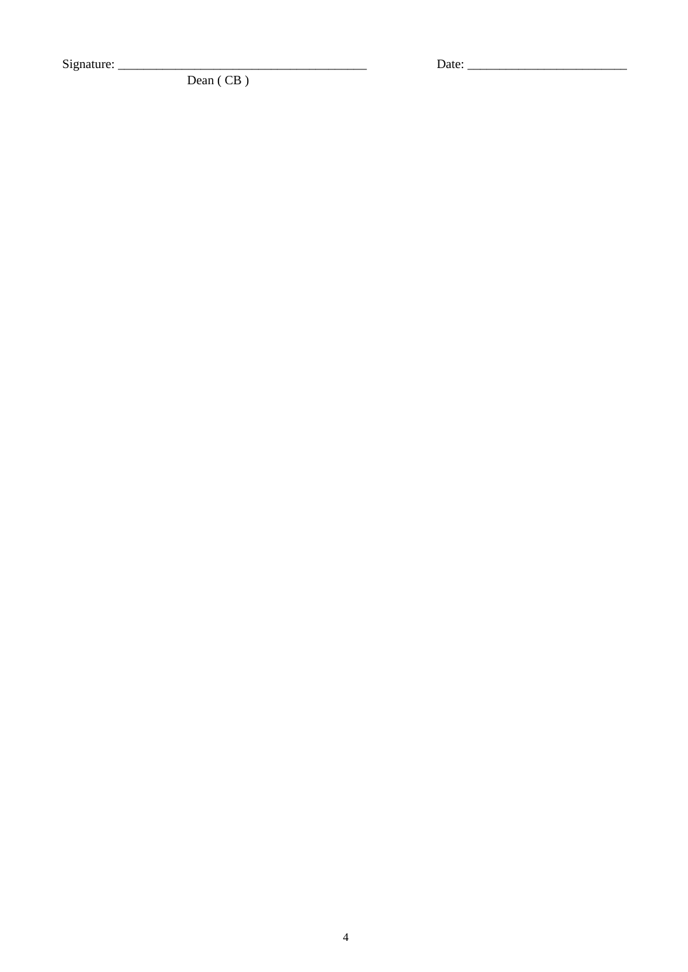Signature:

Dean (CB)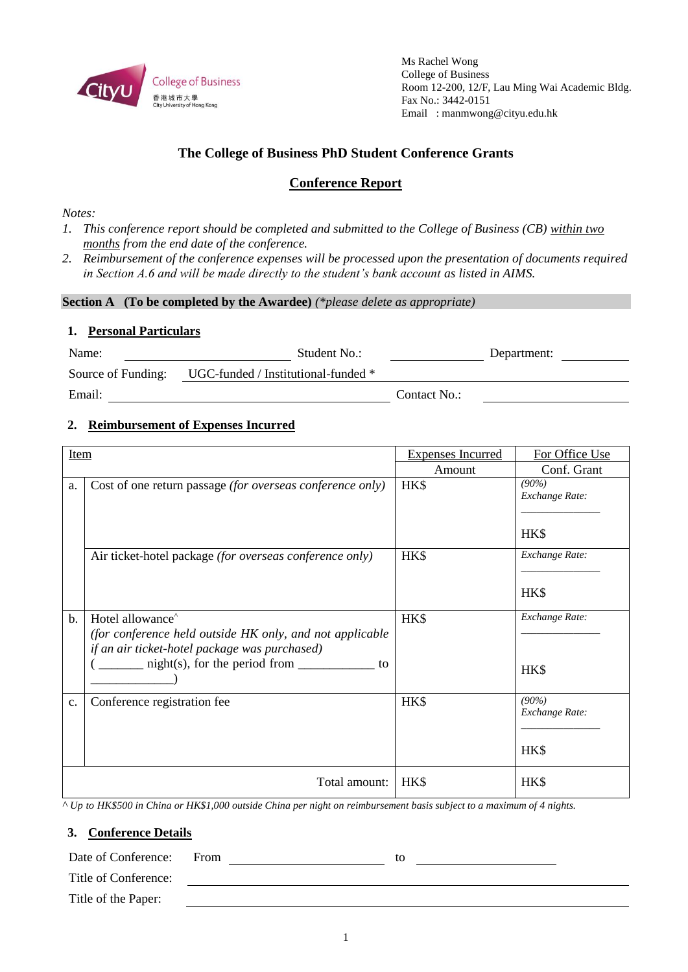

Ms Rachel Wong College of Business Room 12-200, 12/F, Lau Ming Wai Academic Bldg. Fax No.: 3442-0151 Email : manmwong@cityu.edu.hk

## **The College of Business PhD Student Conference Grants**

## **Conference Report**

*Notes:*

- *1. This conference report should be completed and submitted to the College of Business (CB) within two months from the end date of the conference.*
- *2. Reimbursement of the conference expenses will be processed upon the presentation of documents required in Section A.6 and will be made directly to the student's bank account as listed in AIMS.*

**Section A (To be completed by the Awardee)** *(\*please delete as appropriate)*

#### **1. Personal Particulars**

| Name:              | Student No.:                        |              | Department: |
|--------------------|-------------------------------------|--------------|-------------|
| Source of Funding: | UGC-funded / Institutional-funded * |              |             |
| Email:             |                                     | Contact No.: |             |

## **2. Reimbursement of Expenses Incurred**

| Item  |                                                                                                                                                                                          | <b>Expenses Incurred</b> | For Office Use                     |
|-------|------------------------------------------------------------------------------------------------------------------------------------------------------------------------------------------|--------------------------|------------------------------------|
|       |                                                                                                                                                                                          | Amount                   | Conf. Grant                        |
| a.    | Cost of one return passage (for overseas conference only)                                                                                                                                | HK\$                     | (90%)<br>Exchange Rate:<br>HK\$    |
|       | Air ticket-hotel package (for overseas conference only)                                                                                                                                  | HK\$                     | Exchange Rate:<br>HK\$             |
| $b$ . | Hotel allowance <sup>^</sup><br>(for conference held outside HK only, and not applicable<br>if an air ticket-hotel package was purchased)<br>$-$ night(s), for the period from $-$<br>to | HK\$                     | Exchange Rate:<br>HK\$             |
| c.    | Conference registration fee                                                                                                                                                              | HK\$                     | $(90\%)$<br>Exchange Rate:<br>HK\$ |
|       | Total amount:                                                                                                                                                                            | HK\$                     | HK\$                               |

*^ Up to HK\$500 in China or HK\$1,000 outside China per night on reimbursement basis subject to a maximum of 4 nights.*

#### **3. Conference Details**

| Date of Conference: From |  |  |
|--------------------------|--|--|
|                          |  |  |

Title of Conference:

Title of the Paper: